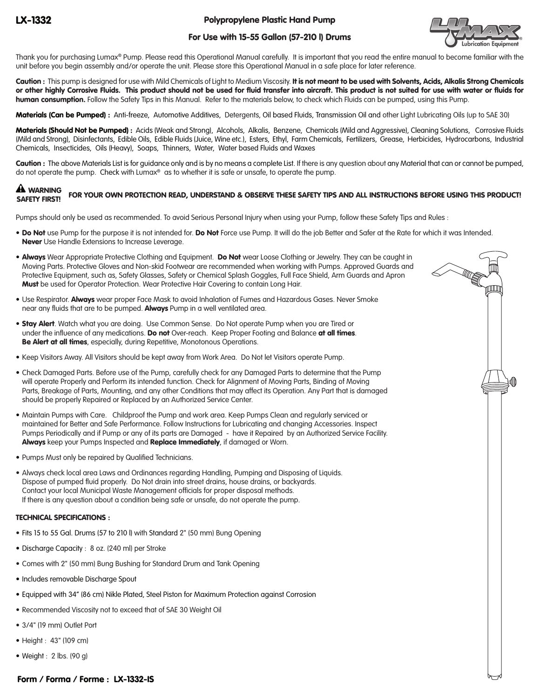Polypropylene Plastic Hand Pump

# For Use with 15-55 Gallon (57-210 l) Drums



Thank you for purchasing Lumax® Pump. Please read this Operational Manual carefully. It is important that you read the entire manual to become familiar with the unit before you begin assembly and/or operate the unit. Please store this Operational Manual in a safe place for later reference.

Caution: This pump is designed for use with Mild Chemicals of Light to Medium Viscosity. It is not meant to be used with Solvents, Acids, Alkalis Strong Chemicals or other highly Corrosive Fluids. This product should not be used for fluid transfer into aircraft. This product is not suited for use with water or fluids for human consumption. Follow the Safety Tips in this Manual. Refer to the materials below, to check which Fluids can be pumped, using this Pump.

Materials (Can be Pumped) : Anti-freeze, Automotive Additives, Detergents, Oil based Fluids, Transmission Oil and other Light Lubricating Oils (up to SAE 30)

Materials (Should Not be Pumped) : Acids (Weak and Strong), Alcohols, Alkalis, Benzene, Chemicals (Mild and Aggressive), Cleaning Solutions, Corrosive Fluids (Mild and Strong), Disinfectants, Edible Oils, Edible Fluids (Juice, Wine etc.), Esters, Ethyl, Farm Chemicals, Fertilizers, Grease, Herbicides, Hydrocarbons, Industrial Chemicals, Insecticides, Oils (Heavy), Soaps, Thinners, Water, Water based Fluids and Waxes

Caution: The above Materials List is for guidance only and is by no means a complete List. If there is any question about any Material that can or cannot be pumped, do not operate the pump. Check with Lumax® as to whether it is safe or unsafe, to operate the pump.

## WARNING FOR YOUR OWN PROTECTION READ, UNDERSTAND & OBSERVE THESE SAFETY TIPS AND ALL INSTRUCTIONS BEFORE USING THIS PRODUCT! **A WARNING**

Pumps should only be used as recommended. To avoid Serious Personal Injury when using your Pump, follow these Safety Tips and Rules :

- Do Not use Pump for the purpose it is not intended for. Do Not Force use Pump. It will do the job Better and Safer at the Rate for which it was Intended. Never Use Handle Extensions to Increase Leverage.
- Always Wear Appropriate Protective Clothing and Equipment. Do Not wear Loose Clothing or Jewelry. They can be caught in Moving Parts. Protective Gloves and Non-skid Footwear are recommended when working with Pumps. Approved Guards and Protective Equipment, such as, Safety Glasses, Safety or Chemical Splash Goggles, Full Face Shield, Arm Guards and Apron Must be used for Operator Protection. Wear Protective Hair Covering to contain Long Hair.
- Use Respirator. Always wear proper Face Mask to avoid Inhalation of Fumes and Hazardous Gases. Never Smoke near any fluids that are to be pumped. Always Pump in a well ventilated area.
- **Stay Alert**. Watch what you are doing. Use Common Sense. Do Not operate Pump when you are Tired or under the influence of any medications. Do not Over-reach. Keep Proper Footing and Balance at all times. Be Alert at all times, especially, during Repetitive, Monotonous Operations.
- Keep Visitors Away. All Visitors should be kept away from Work Area. Do Not let Visitors operate Pump.
- Check Damaged Parts. Before use of the Pump, carefully check for any Damaged Parts to determine that the Pump will operate Properly and Perform its intended function. Check for Alignment of Moving Parts, Binding of Moving Parts, Breakage of Parts, Mounting, and any other Conditions that may affect its Operation. Any Part that is damaged should be properly Repaired or Replaced by an Authorized Service Center.
- Maintain Pumps with Care. Childproof the Pump and work area. Keep Pumps Clean and regularly serviced or maintained for Better and Safe Performance. Follow Instructions for Lubricating and changing Accessories. Inspect Pumps Periodically and if Pump or any of its parts are Damaged - have it Repaired by an Authorized Service Facility. Always keep your Pumps Inspected and Replace Immediately, if damaged or Worn.
- Pumps Must only be repaired by Qualified Technicians.
- Always check local area Laws and Ordinances regarding Handling, Pumping and Disposing of Liquids. Dispose of pumped fluid properly. Do Not drain into street drains, house drains, or backyards. Contact your local Municipal Waste Management officials for proper disposal methods. If there is any question about a condition being safe or unsafe, do not operate the pump.

## TECHNICAL SPECIFICATIONS :

- Fits 15 to 55 Gal. Drums (57 to 210 l) with Standard 2" (50 mm) Bung Opening
- Discharge Capacity : 8 oz. (240 ml) per Stroke
- Comes with 2" (50 mm) Bung Bushing for Standard Drum and Tank Opening
- Includes removable Discharge Spout
- Equipped with 34" (86 cm) Nikle Plated, Steel Piston for Maximum Protection against Corrosion
- Recommended Viscosity not to exceed that of SAE 30 Weight Oil
- 3/4" (19 mm) Outlet Port
- Height : 43" (109 cm)
- Weight : 2 lbs. (90 g)

# Form / Forma / Forme : LX-1332-IS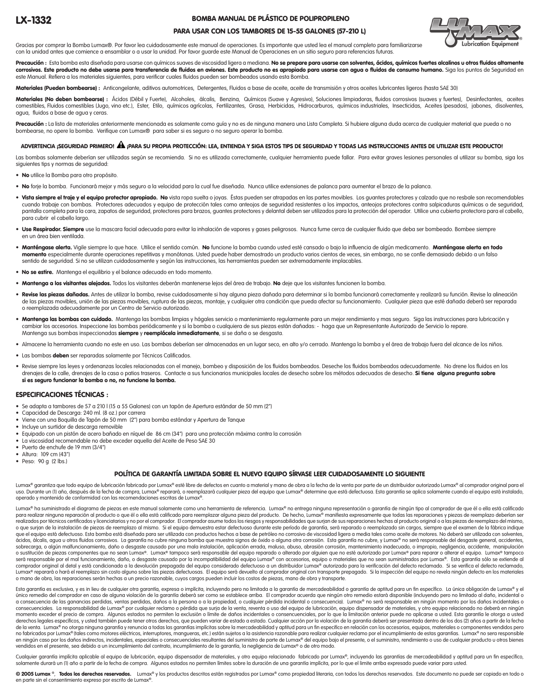### BOMBA MANUAL DE PLÁSTICO DE POLIPROPILENO



## PARA USAR CON LOS TAMBORES DE 15-55 GALONES (57-210 L)

Gracias por comprar la Bomba Lumax®. Por favor lea cuidadosamente este manual de operaciones. Es importante que usted lea el manual completo para familiarizarse con la unidad antes que comience a ensamblar o a usar la unidad. Por favor guarde este Manual de Operaciones en un sitio seguro para referencias futuras.

Precaución : Esta bomba esta diseñada para usarse con químicos suaves de viscosidad ligera a mediana. No se prepare para usarse con solventes, ácidos, químicos fuertes alcalinos u otros fluidos altamente corrosivos. Este producto no debe usarse para transferencia de fluidos en aviones. Este producto no es apropiado para usarse con agua o fluidos de consumo humano. Siga los puntos de Seguridad en este Manual. Refiera a los materiales siguientes, para verificar cuales fluidos pueden ser bombeados usando esta Bomba.

s (Pueden bombearse) : Anticongelante, aditivos automotrices, Detergentes, Fluidos a base de aceite, aceite de transmisión y otros aceites lubricantes ligeros (hasta SAE 30)

Materiales (No deben bombearse) : Ácidos (Débil y Fuerte), Alcoholes, álcalis, Benzina, Químicos (Suave y Agresivo), Soluciones limpiadoras, fluidos corrosivos (suaves y fuertes), Desinfectantes, aceites comestibles, Fluidos comestibles (Jugo, vino etc.), Ester, Etilo, químicos agrícolas, Fertilizantes, Grasa, Herbicidas, Hidrocarburos, químicos industriales, Insecticidas, Aceites (pesados), jabones, disolventes, agua, fluidos a base de agua y ceras.

Precaución : La lista de materiales anteriormente mencionada es solamente como quía y no es de ninguna manera una Lista Completa. Si hubiere alguna duda acerca de cualquier material que pueda o no bombearse, no opere la bomba. Verifique con Lumax® para saber si es seguro o no seguro operar la bomba.

## ADVERTENCIA ¡SEGURIDAD PRIMERO! À ¡PARA SU PROPIA PROTECCIÓN: LEA, ENTIENDA Y SIGA ESTOS TIPS DE SEGURIDAD Y TODAS LAS INSTRUCCIONES ANTES DE UTILIZAR ESTE PRODUCTO!

Las bombas solamente deberían ser utilizadas según se recomienda. Si no es utilizada correctamente, cualquier herramienta puede fallar. Para evitar graves lesiones personales al utilizar su bomba, siga los siguientes tips y normas de seguridad:

- No utilice la Bomba para otro propósito.
- No forje la bomba. Funcionará mejor y más seguro a la velocidad para la cual fue diseñada. Nunca utilice extensiones de palanca para aumentar el brazo de la palanca.
- · Vista siempre el traje y el equipo protector apropiado. No vista ropa suelta o joyas. Éstas pueden ser atrapadas en las partes movibles. Los guantes protectores y calzado que no resbale son recomendables cuando trabaje con bombas. Protectores adecuados y equipo de protección tales como anteojos de seguridad resistentes a los impactos, anteojos protectores contra salpicaduras químicas o de seguridad, pantalla completa para la cara, zapatos de seguridad, protectores para brazos, guantes protectores y delantal deben ser utilizados para la protección del operador. Utilice una cubierta protectora para el cabello, para cubrir el cabello largo.
- · Use Respirador. Siempre use la mascara facial adecuada para evitar la inhalación de vapores y gases peligrosos. Nunca fume cerca de cualquier fluido que deba ser bombeado. Bombee siempre en un área bien ventilada.
- · Manténgase alerta. Vigile siempre lo que hace. Utilice el sentido común. No funcione la bomba cuando usted esté cansado o bajo la influencia de algún medicamento. Manténgase alerta en todo momento especialmente durante operaciones repetitivas y monótonas. Usted puede haber demostrado un producto varios cientos de veces, sin embargo, no se confíe demasiado debido a un falso sentido de seguridad. Si no se utilizan cuidadosamente y según las instrucciones, las herramientas pueden ser extremadamente implacables.
- No se estire. Mantenga el equilibrio y el balance adecuado en todo momento.
- Mantenga a los visitantes alejados. Todos los visitantes deberán mantenerse lejos del área de trabajo. No deje que los visitantes funcionen la bomba.
- · Revise las piezas dañadas. Antes de utilizar la bomba, revise cuidadosamente si hay alguna pieza dañada para determinar si la bomba funcionará correctamente y realizará su función. Revise la alineación de las piezas movibles, unión de las piezas movibles, ruptura de las piezas, montaje, y cualquier otra condición que pueda afectar su funcionamiento. Cualquier pieza que esté dañada deberá ser reparada o reemplazada adecuadamente por un Centro de Servicio autorizado.
- . Mantenga las bombas con cuidado. Mantenga las bombas limpias y hágales servicio o mantenimiento regularmente para un mejor rendimiento y mas seguro. Siga las instrucciones para lubricación y cambiar los accesorios. Inspeccione las bombas periódicamente y si la bomba o cualquiera de sus piezas están dañadas: - haga que un Representante Autorizado de Servicio lo repare. Mantenga sus bombas inspeccionadas siempre y reemplácela inmediatamente, si se daña o se desgasta.
- Almacene la herramienta cuando no este en uso. Las bombas deberían ser almacenadas en un lugar seco, en alto y/o cerrado. Mantenga la bomba y el área de trabajo fuera del alcance de los niños.
- Las bombas deben ser reparadas solamente por Técnicos Calificados.
- Revise siempre las leyes y ordenanzas locales relacionadas con el manejo, bombeo y disposición de los fluidos bombeados. Deseche los fluidos bombeados adecuadamente. No drene los fluidos en los drenajes de la calle, drenajes de la casa o patios traseros. Contacte a sus funcionarios municipales locales de desecho sobre los métodos adecuados de desecho. Si tiene alguna pregunta sobre si es seguro funcionar la bomba o no, no funcione la bomba.

#### ESPECIFICACIONES TÉCNICAS :

- Se adapta a tambores de 57 a 210 l (15 a 55 Galones) con un tapón de Apertura estándar de 50 mm (2")
- Capacidad de Descarga: 240 ml. (8 oz.) por carrera
- Viene con una Boquilla de Tapón de 50 mm (2") para bomba estándar y Apertura de Tanque
- Incluye un surtidor de descarga removible
- Equipado con un pistón de acero bañado en níquel de 86 cm (34") para una protección máxima contra la corrosión
- La viscosidad recomendable no debe exceder aquella del Aceite de Peso SAE 30
- Puerto de enchufe de 19 mm (3/4")
- Altura: 109 cm (43")
- Peso: 90 g (2 lbs.)

#### POLÍTICA DE GARANTÍA LIMITADA SOBRE EL NUEVO EQUIPO SÍRVASE LEER CUIDADOSAMENTE LO SIGUIENTE

Lumax® agrantiza que todo equipo de lubricación fabricado por Lumax® esté libre de defectos en cuanto a material y mano de obra a la fecha de la venta por parte de un distribuidor autorizado Lumax® al comprador original pa uso. Durante un (1) año, después de la fecha de compra, Lumax® reparará, o reemplazará cualquier pieza del equipo que Lumax® determine que está defectuosa. Esta garantía se aplica solamente cuando el equipo está instalado, operado y mantenido de conformidad con las recomendaciones escritas de Lumax®.

Lumax® ha suministrado el diagrama de piezas en este manual solamente como una herramienta de referencia. Lumax® no entrega ninguna representación o garantía de ningún tipo al comprador de que él o ella está calificado para realizar ninguna reparación al producto o que él o ella está calificado para reemplazar alguna pieza del producto. De hecho, Lumax® manifiesta expresamente que todas las reparaciones y piezas de reemplazo deberían ser realizados por técnicos certificados y licenciatarios y no por el comprador. El comprador asume todos los riesgos y responsabilidades que surian de sus reparaciones hechas al producto original o a las piezas de reemplazo d o que surjan de la instalación de piezas de reemplazo al mismo. Si el equipo demuestra estar defectuoso durante este período de garantía, será reparado o reemplazado sin cargos, siempre que el examen de la fábrica indique que el equipo está defectuoso. Esta bomba está diseñada para ser utilizada con productos hechos a base de petróleo no corrosivo de viscosidad ligera a media tales como aceite de motores. No deberá ser utilizada con solvent ácidos, álcalis, agua u otros fluidos corrosivos. La garantía no cubre ninguna bomba que muestra signos de óxido o alguna otra corrosión. Esta garantía no cubre, y Lumax® no será responsable del desgaste general, accidente sobrecarga, o algún malfuncionamiento, daño o desgaste causado por una mala instalación, aplicación errada, maluso, abuso, abuso, abuso, abrasión corrosión, mantenimiento inadecuado, o impropio, negligencia, accidente, ma será responsable por el mal funcionamiento, daño, o desgaste causado por la incompatibilidad del equipo Lumax® con accesorios, equipo o materiales que no sean suministrados por Lumax®. Esta garantía sólo se extiende al comprador original al detal y está condicionada a la devolución prepagada del equipo considerado defectuoso a un distribuidor Lumax® autorizado para la verificación del defecto reclamado. Si se verifica el defecto reclamad Lumax® reparará o hará el reemplazo sin costo alguno sobre las piezas defectuosas. El equipo será devuelto al comprador original con transporte prepagado. Si la inspección del equipo no revela ningún defecto en los materia o mano de obra, las reparaciones serán hechas a un precio razonable, cuyos cargos pueden incluir los costos de piezas, mano de obra y transporte.

Esta garantía es exclusiva, y es in lieu de cualquier otra garantía, expresa o implícita, incluyendo pero no limitada a la garantía de mercadeabilidad o garantía de aptitud para un fin específico. La única obligación de Lu único remedio del comprador en caso de alguna violación de la garantía deberá ser como se establece arriba. El comprador acuerda que ningún otro remedio estará disponible (incluyendo pero no limitado al daño, incidental o a consecuencia de las ganancias perdidas, ventas perdidas, daños a la persona o a la propiedad, o cualquier pérdida incidental o consecuencia). Lumax® no será responsable en ningún momento por los daños incidentales o consecuenciales. La responsabilidad de Lumax® por cualquier reclamo o pérdida que surja de la venta, reventa o uso del equipo de lubricación, equipo dispensador de materiales, y otro equipo relacionado no deberá en ningún momento exceder el precio de compra. Algunos estados no permiten la exclusión o límite de daños incidentales o consencuenciales, por lo que la limitación anterior puede no aplicarse a usted. Esta garantía le otorga a usted derechos legales específicos, y usted también puede tener otros derechos, que pueden variar de estado a estado. Cualquier acción por la violación de la garantía deberá ser presentada dentro de los dos (2) años a partir de no fabricados por Lumax® (tales como motores eléctricos, interruptores, mangueras, etc.) están sujetos a la asistencia razonable para realizar cualquier reclamo por el incumplimiento de estas garantías. Lumax® no sera resp en ningún caso por los daños indirectos, incidentales, especiales o consecuenciales resultantes del suministro de parte de Lumax® del equipo bajo el presente, o el suministro, rendimiento o uso de cualquier producto u otro vendidos en el presente, sea debido a un incumplimiento del contrato, incumplimiento de la garantía, la negligencia de Lumax® o de otro modo

Cualquier garantía implícita aplicable al equipo de lubricación, equipo dispensador de materiales, y otro equipo relacionado fabricado por Lumax®, incluyendo las garantías de mercadeabilidad y aptitud para un fin específic solamente durará un (1) año a partir de la fecha de compra. Algunos estados no permiten límites sobre la duración de una garantía implícita, por lo que el limite arriba expresado puede variar para usted.

© 2005 Lumax ®, Todos los derechos reservados. Lumax® y los productos descritos están registrados por Lumax® como propiedad literaria, con todos los derechos reservados. Este documento no puede ser copiado en todo o en parte sin el consentimiento expreso por escrito de Lumax®.